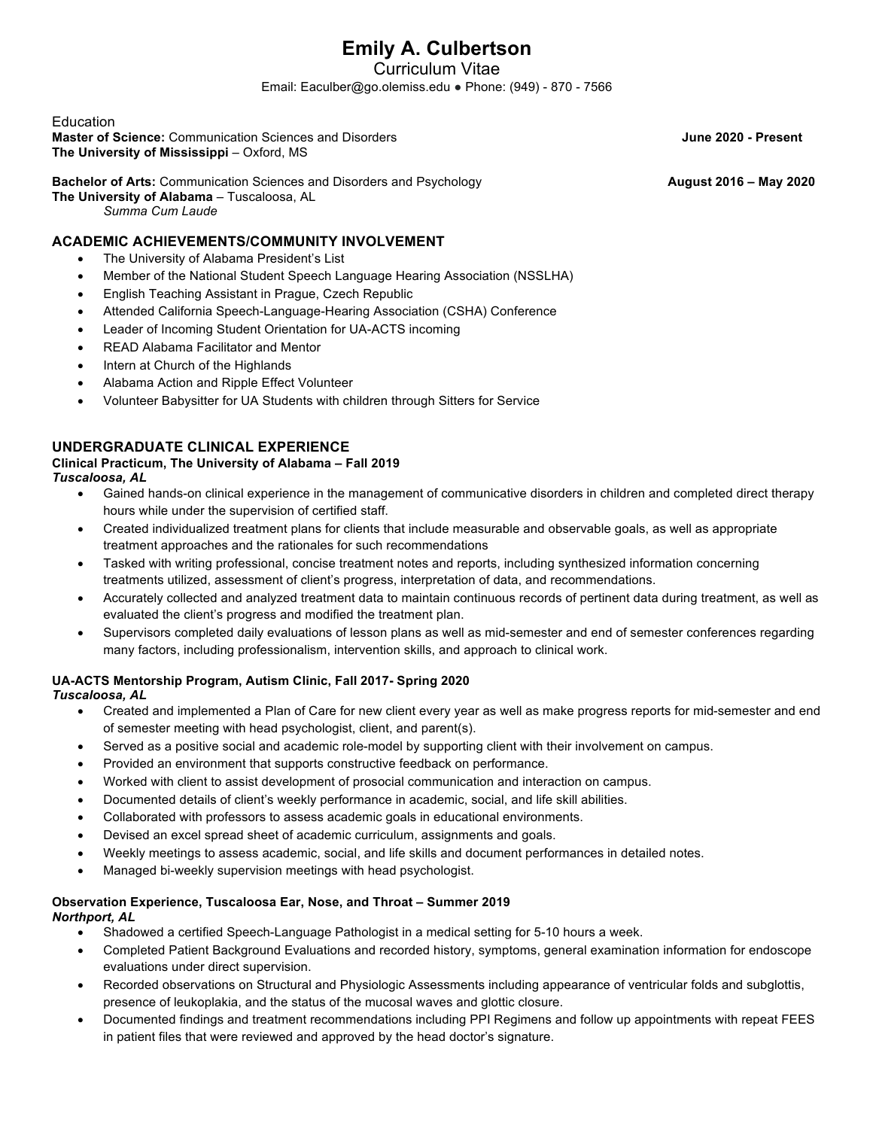# **Emily A. Culbertson**

Curriculum Vitae

Email: Eaculber@go.olemiss.edu ● Phone: (949) - 870 - 7566

#### Education

**Master of Science:** Communication Sciences and Disorders **June 2020 - Present The University of Mississippi** – Oxford, MS

### **Bachelor of Arts:** Communication Sciences and Disorders and Psychology **August 2016 – May 2020**

**The University of Alabama** – Tuscaloosa, AL

*Summa Cum Laude*

#### **ACADEMIC ACHIEVEMENTS/COMMUNITY INVOLVEMENT**

- The University of Alabama President's List
- Member of the National Student Speech Language Hearing Association (NSSLHA)
- English Teaching Assistant in Prague, Czech Republic
- Attended California Speech-Language-Hearing Association (CSHA) Conference
- Leader of Incoming Student Orientation for UA-ACTS incoming
- READ Alabama Facilitator and Mentor
- Intern at Church of the Highlands
- Alabama Action and Ripple Effect Volunteer
- Volunteer Babysitter for UA Students with children through Sitters for Service

#### **UNDERGRADUATE CLINICAL EXPERIENCE**

### **Clinical Practicum, The University of Alabama – Fall 2019**

*Tuscaloosa, AL*

- Gained hands-on clinical experience in the management of communicative disorders in children and completed direct therapy hours while under the supervision of certified staff.
- Created individualized treatment plans for clients that include measurable and observable goals, as well as appropriate treatment approaches and the rationales for such recommendations
- Tasked with writing professional, concise treatment notes and reports, including synthesized information concerning treatments utilized, assessment of client's progress, interpretation of data, and recommendations.
- Accurately collected and analyzed treatment data to maintain continuous records of pertinent data during treatment, as well as evaluated the client's progress and modified the treatment plan.
- Supervisors completed daily evaluations of lesson plans as well as mid-semester and end of semester conferences regarding many factors, including professionalism, intervention skills, and approach to clinical work.

### **UA-ACTS Mentorship Program, Autism Clinic, Fall 2017- Spring 2020**

*Tuscaloosa, AL*

- Created and implemented a Plan of Care for new client every year as well as make progress reports for mid-semester and end of semester meeting with head psychologist, client, and parent(s).
- Served as a positive social and academic role-model by supporting client with their involvement on campus.
- Provided an environment that supports constructive feedback on performance.
- Worked with client to assist development of prosocial communication and interaction on campus.
- Documented details of client's weekly performance in academic, social, and life skill abilities.
- Collaborated with professors to assess academic goals in educational environments.
- Devised an excel spread sheet of academic curriculum, assignments and goals.
- Weekly meetings to assess academic, social, and life skills and document performances in detailed notes.
- Managed bi-weekly supervision meetings with head psychologist.

## **Observation Experience, Tuscaloosa Ear, Nose, and Throat – Summer 2019**

*Northport, AL*

- Shadowed a certified Speech-Language Pathologist in a medical setting for 5-10 hours a week.
- Completed Patient Background Evaluations and recorded history, symptoms, general examination information for endoscope evaluations under direct supervision.
- Recorded observations on Structural and Physiologic Assessments including appearance of ventricular folds and subglottis, presence of leukoplakia, and the status of the mucosal waves and glottic closure.
- Documented findings and treatment recommendations including PPI Regimens and follow up appointments with repeat FEES in patient files that were reviewed and approved by the head doctor's signature.